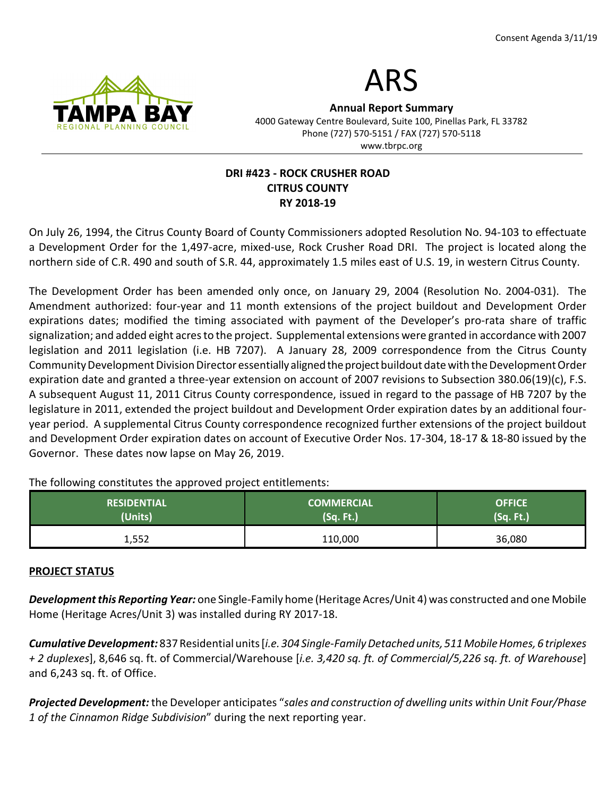



Annual Report Summary 4000 Gateway Centre Boulevard, Suite 100, Pinellas Park, FL 33782 Phone (727) 570-5151 / FAX (727) 570-5118 www.tbrpc.org

# DRI #423 - ROCK CRUSHER ROAD CITRUS COUNTY RY 2018-19

On July 26, 1994, the Citrus County Board of County Commissioners adopted Resolution No. 94-103 to effectuate a Development Order for the 1,497-acre, mixed-use, Rock Crusher Road DRI. The project is located along the northern side of C.R. 490 and south of S.R. 44, approximately 1.5 miles east of U.S. 19, in western Citrus County.

The Development Order has been amended only once, on January 29, 2004 (Resolution No. 2004-031). The Amendment authorized: four-year and 11 month extensions of the project buildout and Development Order expirations dates; modified the timing associated with payment of the Developer's pro-rata share of traffic signalization; and added eight acres to the project. Supplemental extensions were granted in accordance with 2007 legislation and 2011 legislation (i.e. HB 7207). A January 28, 2009 correspondence from the Citrus County Community Development Division Director essentially aligned the project buildout date with the Development Order expiration date and granted a three-year extension on account of 2007 revisions to Subsection 380.06(19)(c), F.S. A subsequent August 11, 2011 Citrus County correspondence, issued in regard to the passage of HB 7207 by the legislature in 2011, extended the project buildout and Development Order expiration dates by an additional fouryear period. A supplemental Citrus County correspondence recognized further extensions of the project buildout and Development Order expiration dates on account of Executive Order Nos. 17-304, 18-17 & 18-80 issued by the Governor. These dates now lapse on May 26, 2019.

The following constitutes the approved project entitlements:

| <b>RESIDENTIAL</b> | <b>COMMERCIAL</b> | <b>OFFICE</b> |
|--------------------|-------------------|---------------|
| (Units)            | (Sq. Ft.)         | (Sq. Ft.)     |
| 1,552              | 110,000           | 36,080        |

#### PROJECT STATUS

Development this Reporting Year: one Single-Family home (Heritage Acres/Unit 4) was constructed and one Mobile Home (Heritage Acres/Unit 3) was installed during RY 2017-18.

Cumulative Development: 837 Residential units [i.e. 304 Single-Family Detached units, 511 Mobile Homes, 6 triplexes + 2 duplexes], 8,646 sq. ft. of Commercial/Warehouse [i.e. 3,420 sq. ft. of Commercial/5,226 sq. ft. of Warehouse] and 6,243 sq. ft. of Office.

Projected Development: the Developer anticipates "sales and construction of dwelling units within Unit Four/Phase 1 of the Cinnamon Ridge Subdivision" during the next reporting year.